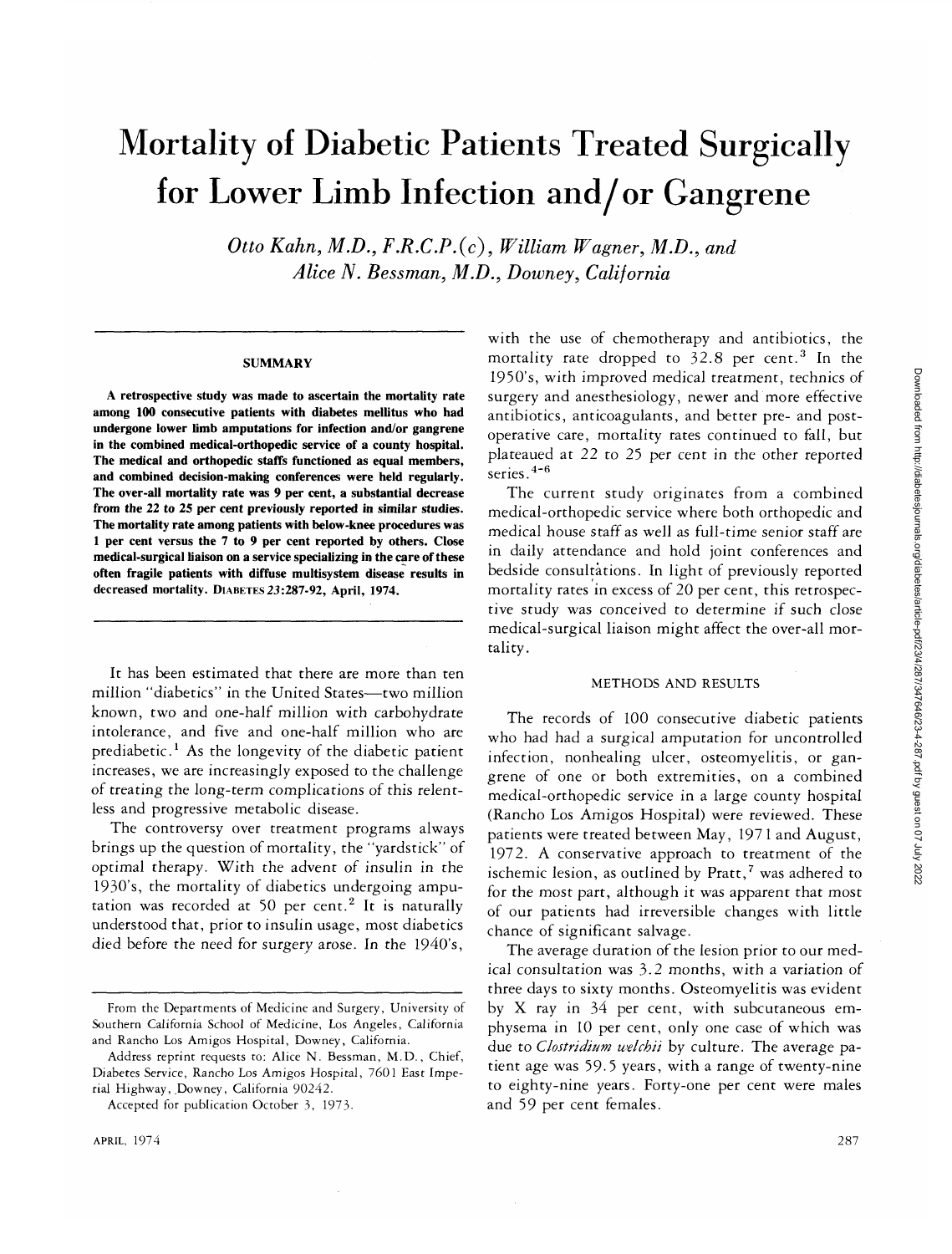# Mortality of Diabetic Patients Treated Surgically for Lower Limb Infection and/or Gangrene

*Otto Kahn, M.D., F.R.C.P.(c), William Wagner, M.D., and Alice N. Bessman, M.D., Downey, California*

#### **SUMMARY**

**A retrospective study was made to ascertain the mortality rate among 100 consecutive patients with diabetes mellitus who had undergone lower limb amputations for infection and/or gangrene in the combined medical-orthopedic service of a county hospital. The medical and orthopedic staffs functioned as equal members, and combined decision-making conferences were held regularly. The over-all mortality rate was 9 per cent, a substantial decrease from the 22 to 25 per cent previously reported in similar studies. The mortality rate among patients with below-knee procedures was 1 per cent versus the 7 to 9 per cent reported by others. Close medical-surgical liaison on a service specializing in the care of these often fragile patients with diffuse multisystem disease results in decreased mortality.** DIABETES **23:287-92, April, 1974.**

It has been estimated that there are more than ten million "diabetics" in the United States—two million known, two and one-half million with carbohydrate intolerance, and five and one-half million who are prediabetic.<sup>1</sup> As the longevity of the diabetic patient increases, we are increasingly exposed to the challenge of treating the long-term complications of this relentless and progressive metabolic disease.

The controversy over treatment programs always brings up the question of mortality, the "yardstick" of optimal therapy. With the advent of insulin in the 193O's, the mortality of diabetics undergoing amputation was recorded at 50 per cent.<sup>2</sup> It is naturally understood that, prior to insulin usage, most diabetics died before the need for surgery arose. In the 1940's,

with the use of chemotherapy and antibiotics, the mortality rate dropped to 32.8 per cent.<sup>3</sup> In the 1950's, with improved medical treatment, technics of surgery and anesthesiology, newer and more effective antibiotics, anticoagulants, and better pre- and postoperative care, mortality rates continued to fall, but plateaued at 22 to 25 per cent in the other reported series.<sup>4-6</sup>

The current study originates from a combined medical-orthopedic service where both orthopedic and medical house staff as well as full-time senior staff are in daily attendance and hold joint conferences and bedside consultations. In light of previously reported mortality rates in excess of 20 per cent, this retrospective study was conceived to determine if such close medical-surgical liaison might affect the over-all mortality.

## METHODS AND RESULTS

The records of 100 consecutive diabetic patients who had had a surgical amputation for uncontrolled infection, nonhealing ulcer, osteomyelitis, or gangrene of one or both extremities, on a combined medical-orthopedic service in a large county hospital (Rancho Los Amigos Hospital) were reviewed. These patients were treated between May, 197 1 and August, 1972. A conservative approach to treatment of the ischemic lesion, as outlined by Pratt,<sup>7</sup> was adhered to for the most part, although it was apparent that most of our patients had irreversible changes with little chance of significant salvage.

The average duration of the lesion prior to our medical consultation was 3.2 months, with a variation of three days to sixty months. Osteomyelitis was evident by X ray in 34 per cent, with subcutaneous emphysema in 10 per cent, only one case of which was due to *Clostridium welchii* by culture. The average patient age was 59-5 years, with a range of twenty-nine to eighty-nine years. Forty-one per cent were males and 59 per cent females.

From the Departments of Medicine and Surgery, University of Southern California School of Medicine, Los Angeles, California and Rancho Los Amigos Hospital, Downey, California.

Address reprint requests to: Alice N. Bessman, M.D., Chief, Diabetes Service, Rancho Los Amigos Hospital, 7601 East Imperial Highway, Downey, California 90242.

Accepted for publication October 3, 1973-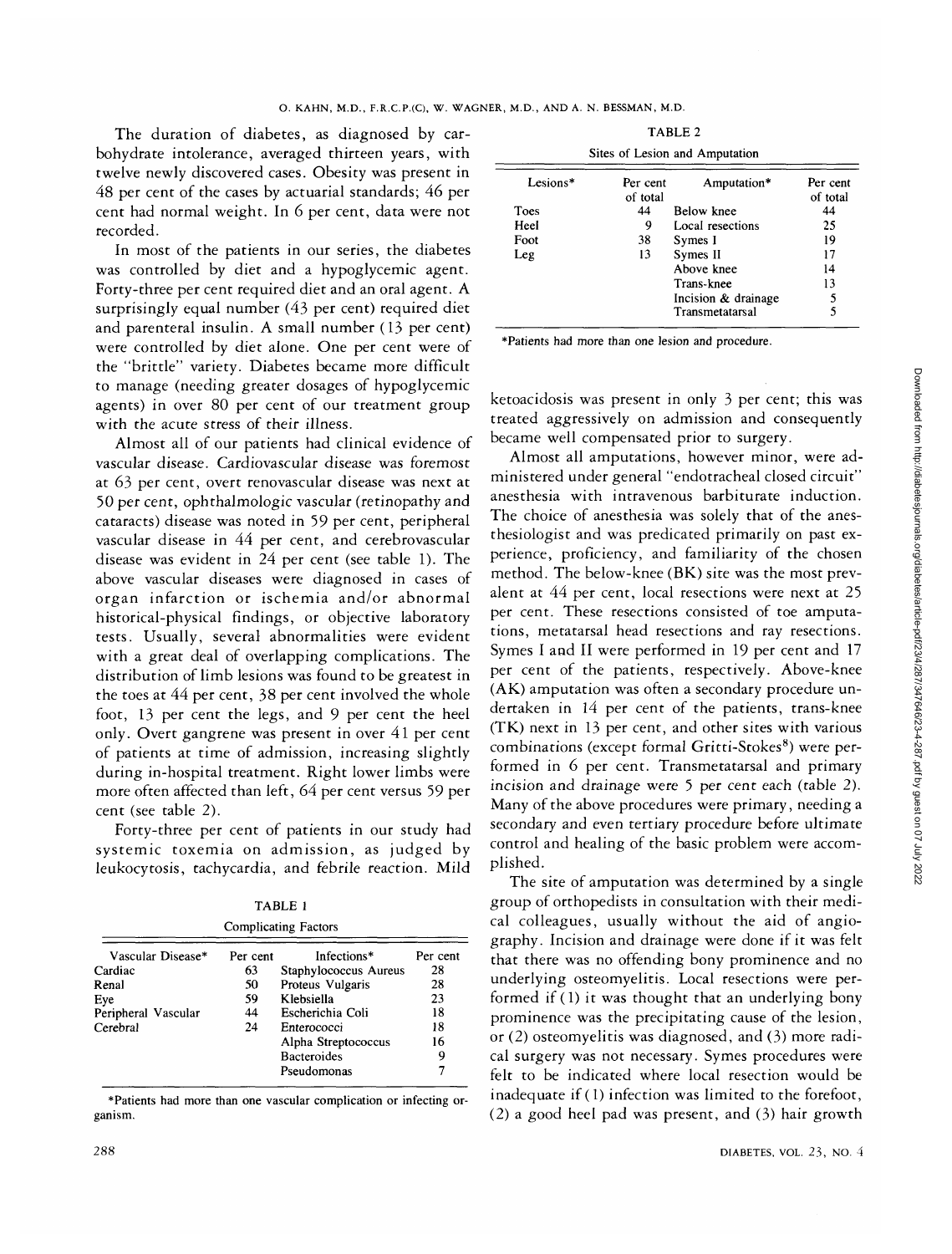The duration of diabetes, as diagnosed by carbohydrate intolerance, averaged thirteen years, with twelve newly discovered cases. Obesity was present in 48 per cent of the cases by actuarial standards; 46 per cent had normal weight. In 6 per cent, data were not recorded.

In most of the patients in our series, the diabetes was controlled by diet and a hypoglycemic agent. Forty-three per cent required diet and an oral agent. A surprisingly equal number (43 per cent) required diet and parenteral insulin. A small number (13 per cent) were controlled by diet alone. One per cent were of the "brittle" variety. Diabetes became more difficult to manage (needing greater dosages of hypoglycemic agents) in over 80 per cent of our treatment group with the acute stress of their illness.

Almost all of our patients had clinical evidence of vascular disease. Cardiovascular disease was foremost at 63 per cent, overt renovascular disease was next at 50 per cent, ophthalmologic vascular (retinopathy and cataracts) disease was noted in 59 per cent, peripheral vascular disease in 44 per cent, and cerebrovascular disease was evident in 24 per cent (see table 1). The above vascular diseases were diagnosed in cases of organ infarction or ischemia and/or abnormal historical-physical findings, or objective laboratory tests. Usually, several abnormalities were evident with a great deal of overlapping complications. The distribution of limb lesions was found to be greatest in the toes at 44 per cent, 38 per cent involved the whole foot, 13 per cent the legs, and 9 per cent the heel only. Overt gangrene was present in over 41 per cent of patients at time of admission, increasing slightly during in-hospital treatment. Right lower limbs were more often affected than left, 64 per cent versus 59 per cent (see table 2).

Forty-three per cent of patients in our study had systemic toxemia on admission, as judged by leukocytosis, tachycardia, and febrile reaction. Mild

TABLE 1 Complicating Factors

| Vascular Disease*   | Per cent | Infections*           | Per cent |
|---------------------|----------|-----------------------|----------|
| Cardiac             | 63       | Staphylococcus Aureus | 28       |
| Renal               | 50       | Proteus Vulgaris      | 28       |
| Eye                 | 59       | Klebsiella            | 23       |
| Peripheral Vascular | 44       | Escherichia Coli      | 18       |
| Cerebral            | 24       | Enterococci           | 18       |
|                     |          | Alpha Streptococcus   | 16       |
|                     |          | <b>Bacteroides</b>    | 9        |
|                     |          | Pseudomonas           |          |

\*Patients had more than one vascular complication or infecting organism.

TABLE 2

| Per cent<br>of total | Amputation*         | Per cent<br>of total           |  |  |  |  |
|----------------------|---------------------|--------------------------------|--|--|--|--|
| 44                   | Below knee          | 44                             |  |  |  |  |
| 9                    | Local resections    | 25                             |  |  |  |  |
| 38                   | Symes I             | 19                             |  |  |  |  |
| 13                   | Symes II            | 17                             |  |  |  |  |
|                      | Above knee          | 14                             |  |  |  |  |
|                      | Trans-knee          | 13                             |  |  |  |  |
|                      | Incision & drainage | 5                              |  |  |  |  |
|                      | Transmetatarsal     | 5                              |  |  |  |  |
|                      |                     | Sites of Lesion and Amputation |  |  |  |  |

\*Patients had more than one lesion and procedure.

ketoacidosis was present in only 3 per cent; this was treated aggressively on admission and consequently became well compensated prior to surgery.

Almost all amputations, however minor, were administered under general "endotracheal closed circuit" anesthesia with intravenous barbiturate induction. The choice of anesthesia was solely that of the anesthesiologist and was predicated primarily on past experience, proficiency, and familiarity of the chosen method. The below-knee (BK) site was the most prevalent at 44 per cent, local resections were next at 25 per cent. These resections consisted of toe amputations, metatarsal head resections and ray resections. Symes I and II were performed in 19 per cent and 17 per cent of the patients, respectively. Above-knee (AK) amputation was often a secondary procedure undertaken in 14 per cent of the patients, trans-knee (TK) next in 13 per cent, and other sites with various combinations (except formal Gritti-Stokes<sup>8</sup>) were performed in 6 per cent. Transmetatarsal and primary incision and drainage were 5 per cent each (table 2). Many of the above procedures were primary, needing a secondary and even tertiary procedure before ultimate control and healing of the basic problem were accomplished.

The site of amputation was determined by a single group of orthopedists in consultation with their medical colleagues, usually without the aid of angiography. Incision and drainage were done if it was felt that there was no offending bony prominence and no underlying osteomyelitis. Local resections were performed if (1) it was thought that an underlying bony prominence was the precipitating cause of the lesion, or (2) osteomyelitis was diagnosed, and (3) more radical surgery was not necessary. Symes procedures were felt to be indicated where local resection would be inadequate if (1) infection was limited to the forefoot, (2) a good heel pad was present, and (3) hair growth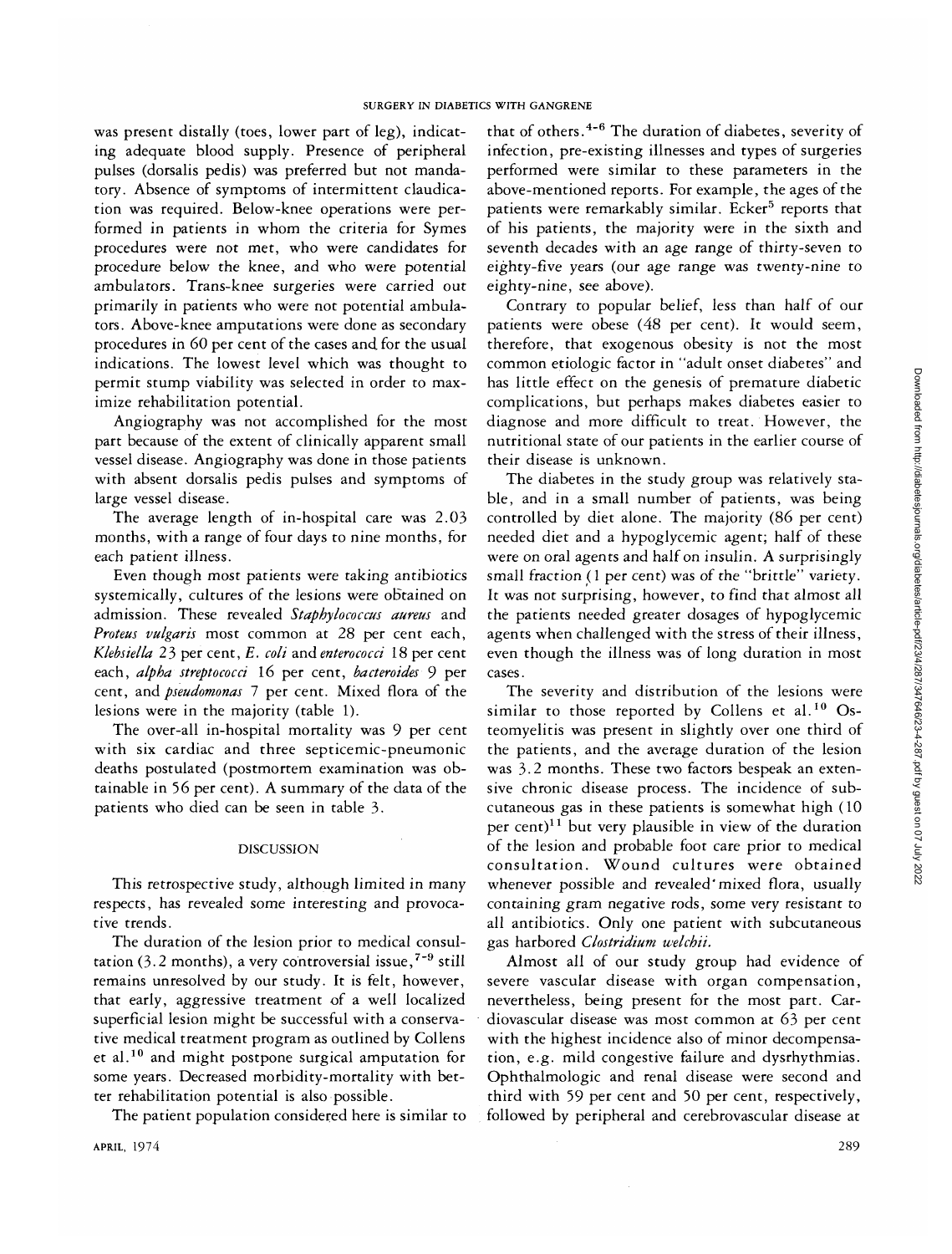was present distally (toes, lower part of leg), indicating adequate blood supply. Presence of peripheral pulses (dorsalis pedis) was preferred but not mandatory. Absence of symptoms of intermittent claudication was required. Below-knee operations were performed in patients in whom the criteria for Symes procedures were not met, who were candidates for procedure below the knee, and who were potential ambulators. Trans-knee surgeries were carried out primarily in patients who were not potential ambulators. Above-knee amputations were done as secondary procedures in 60 per cent of the cases and for the usual indications. The lowest level which was thought to permit stump viability was selected in order to maximize rehabilitation potential.

Angiography was not accomplished for the most part because of the extent of clinically apparent small vessel disease. Angiography was done in those patients with absent dorsalis pedis pulses and symptoms of large vessel disease.

The average length of in-hospital care was 2.03 months, with a range of four days to nine months, for each patient illness.

Even though most patients were taking antibiotics systemically, cultures of the lesions were obtained on admission. These revealed *Stapbylococcus aureus* and *Proteus vulgaris* most common at 28 per cent each, *Klebsiella* 23 per cent, *E. coli* and *enterococci* 18 per cent each, *alpha streptococci* 16 per cent, *bacteroides* 9 per cent, and *pseudomonas* 7 per cent. Mixed flora of the lesions were in the majority (table 1).

The over-all in-hospital mortality was 9 per cent with six cardiac and three septicemic-pneumonic deaths postulated (postmortem examination was obtainable in 56 per cent). A summary of the data of the patients who died can be seen in table 3.

#### DISCUSSION

This retrospective study, although limited in many respects, has revealed some interesting and provocative trends.

The duration of the lesion prior to medical consultation (3.2 months), a very controversial issue,<sup>7-9</sup> still remains unresolved by our study. It is felt, however, that early, aggressive treatment of a well localized superficial lesion might be successful with a conservative medical treatment program as outlined by Collens et al.<sup>10</sup> and might postpone surgical amputation for some years. Decreased morbidity-mortality with better rehabilitation potential is also possible.

The patient population considered here is similar to

that of others.<sup>4-6</sup> The duration of diabetes, severity of infection, pre-existing illnesses and types of surgeries performed were similar to these parameters in the above-mentioned reports. For example, the ages of the patients were remarkably similar. Ecker<sup>5</sup> reports that of his patients, the majority were in the sixth and seventh decades with an age range of thirty-seven to eighty-five years (our age range was twenty-nine to eighty-nine, see above).

Contrary to popular belief, less than half of our patients were obese (48 per cent). It would seem, therefore, that exogenous obesity is not the most common etiologic factor in "adult onset diabetes" and has little effect on the genesis of premature diabetic complications, but perhaps makes diabetes easier to diagnose and more difficult to treat. However, the nutritional state of our patients in the earlier course of their disease is unknown.

The diabetes in the study group was relatively stable, and in a small number of patients, was being controlled by diet alone. The majority (86 per cent) needed diet and a hypoglycemic agent; half of these were on oral agents and half on insulin. A surprisingly small fraction (1 per cent) was of the "brittle" variety. It was not surprising, however, to find that almost all the patients needed greater dosages of hypoglycemic agents when challenged with the stress of their illness, even though the illness was of long duration in most cases.

The severity and distribution of the lesions were similar to those reported by Collens et al.<sup>10</sup> Osteomyelitis was present in slightly over one third of the patients, and the average duration of the lesion was 3.2 months. These two factors bespeak an extensive chronic disease process. The incidence of subcutaneous gas in these patients is somewhat high (10 per cent)<sup>11</sup> but very plausible in view of the duration of the lesion and probable foot care prior to medical consultation. Wound cultures were obtained whenever possible and revealed'mixed flora, usually containing gram negative rods, some very resistant to all antibiotics. Only one patient with subcutaneous gas harbored *Clostridium tvelchii.*

Almost all of our study group had evidence of severe vascular disease with organ compensation, nevertheless, being present for the most part. Cardiovascular disease was most common at 63 per cent with the highest incidence also of minor decompensation, e.g. mild congestive failure and dysrhythmias. Ophthalmologic and renal disease were second and third with 59 per cent and 50 per cent, respectively, followed by peripheral and cerebrovascular disease at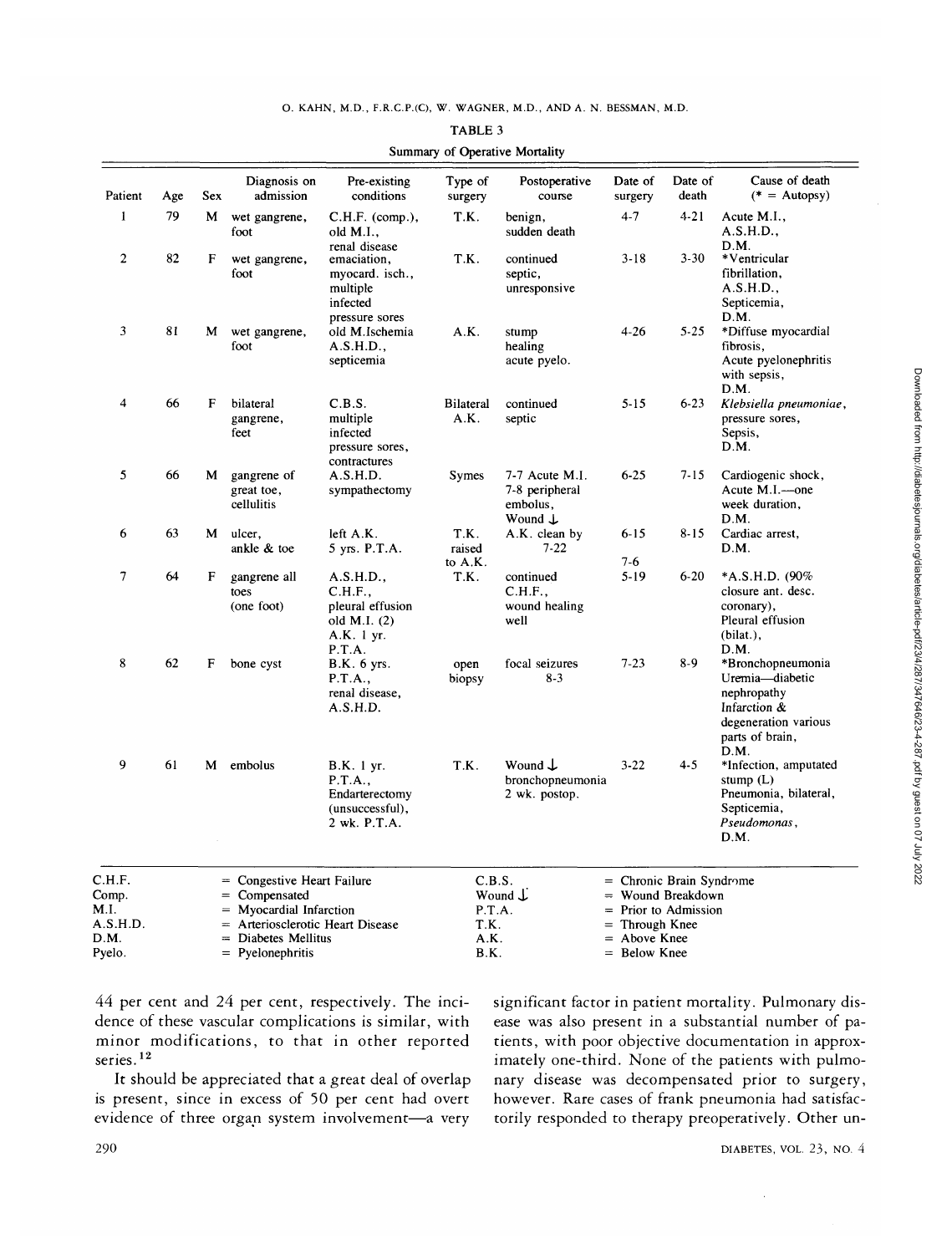| Patient                    | Age | Sex | Diagnosis on<br>admission                                                     | Pre-existing<br>conditions                                                                | Type of<br>surgery          | Postoperative<br>course                                            | Date of<br>surgery                                                       | Date of<br>death | Cause of death<br>$(* =$ Autopsy)                                                                                      |
|----------------------------|-----|-----|-------------------------------------------------------------------------------|-------------------------------------------------------------------------------------------|-----------------------------|--------------------------------------------------------------------|--------------------------------------------------------------------------|------------------|------------------------------------------------------------------------------------------------------------------------|
| $\mathbf{1}$               | 79  | M   | wet gangrene,<br>foot                                                         | $C.H.F.$ (comp.),<br>old M.I.,                                                            | T.K.                        | benign,<br>sudden death                                            | $4 - 7$                                                                  | $4 - 21$         | Acute M.I.,<br>A.S.H.D.,                                                                                               |
| $\overline{c}$             | 82  | F   | wet gangrene,<br>foot                                                         | renal disease<br>emaciation,<br>myocard. isch.,<br>multiple<br>infected<br>pressure sores | T.K.                        | continued<br>septic,<br>unresponsive                               | $3 - 18$                                                                 | $3 - 30$         | D.M.<br>*Ventricular<br>fibrillation,<br>A.S.H.D.,<br>Septicemia,<br>D.M.                                              |
| 3                          | 81  | M   | wet gangrene,<br>foot                                                         | old M.Ischemia<br>A.S.H.D.<br>septicemia                                                  | A.K.                        | stump<br>healing<br>acute pyelo.                                   | $4 - 26$                                                                 | $5 - 25$         | *Diffuse myocardial<br>fibrosis.<br>Acute pyelonephritis<br>with sepsis,<br>D.M.                                       |
| 4                          | 66  | F   | bilateral<br>gangrene,<br>feet                                                | C.B.S.<br>multiple<br>infected<br>pressure sores,<br>contractures                         | <b>Bilateral</b><br>A.K.    | continued<br>septic                                                | $5 - 15$                                                                 | $6-23$           | Klebsiella pneumoniae,<br>pressure sores,<br>Sepsis,<br>D.M.                                                           |
| 5                          | 66  | М   | gangrene of<br>great toe,<br>cellulitis                                       | A.S.H.D.<br>sympathectomy                                                                 | <b>Symes</b>                | 7-7 Acute M.I.<br>7-8 peripheral<br>embolus,<br>Wound $\downarrow$ | $6 - 25$                                                                 | $7 - 15$         | Cardiogenic shock,<br>Acute M.I.-one<br>week duration,<br>D.M.                                                         |
| 6                          | 63  | М   | ulcer,<br>ankle & toe                                                         | left A.K.<br>5 yrs. P.T.A.                                                                | T.K.<br>raised<br>to A.K.   | A.K. clean by<br>$7 - 22$                                          | $6 - 15$<br>7-6                                                          | $8 - 15$         | Cardiac arrest,<br>D.M.                                                                                                |
| 7                          | 64  | F   | gangrene all<br>toes<br>(one foot)                                            | A.S.H.D.,<br>C.H.F.,<br>pleural effusion<br>old M.I. $(2)$<br>A.K. 1 yr.<br>P.T.A.        | T.K.                        | continued<br>C.H.F.,<br>wound healing<br>well                      | $5 - 19$                                                                 | $6 - 20$         | *A.S.H.D. $(90\%$<br>closure ant. desc.<br>coronary),<br>Pleural effusion<br>(bilat.),<br>D.M.                         |
| 8                          | 62  | F   | bone cyst                                                                     | <b>B.K.</b> 6 yrs.<br>P.T.A.,<br>renal disease,<br>A.S.H.D.                               | open<br>biopsy              | focal seizures<br>$8-3$                                            | $7 - 23$                                                                 | $8-9$            | *Bronchopneumonia<br>Uremia-diabetic<br>nephropathy<br>Infarction &<br>degeneration various<br>parts of brain,<br>D.M. |
| 9                          | 61  | M   | embolus                                                                       | B.K. 1 yr.<br>P.T.A.,<br>Endarterectomy<br>(unsuccessful),<br>2 wk. P.T.A.                | T.K.                        | Wound $\mathsf{\downarrow}$<br>bronchopneumonia<br>2 wk. postop.   | $3 - 22$                                                                 | $4 - 5$          | *Infection, amputated<br>stump $(L)$<br>Pneumonia, bilateral,<br>Septicemia,<br>Pseudomonas,<br>D.M.                   |
| C.H.F.<br>Comp.<br>M.I.    |     |     | = Congestive Heart Failure<br>$=$ Compensated<br>$=$ Myocardial Infarction    |                                                                                           | C.B.S.<br>P.T.A.            | Wound $\mathcal{L}$                                                | $=$ Chronic Brain Syndrome<br>$=$<br>$=$ Prior to Admission              | Wound Breakdown  |                                                                                                                        |
| A.S.H.D.<br>D.M.<br>Pyelo. |     |     | = Arteriosclerotic Heart Disease<br>= Diabetes Mellitus<br>$=$ Pyelonephritis |                                                                                           | T.K.<br>A.K.<br><b>B.K.</b> |                                                                    | Through Knee<br>$=$<br>Above Knee<br>$\qquad \qquad =$<br>$=$ Below Knee |                  |                                                                                                                        |

**TABLE** 3 **Summary of Operative Mortality**

44 per cent and 24 per cent, respectively. The incidence of these vascular complications is similar, with minor modifications, to that in other reported series.<sup>12</sup>

It should be appreciated that a great deal of overlap is present, since in excess of 50 per cent had overt evidence of three organ system involvement—a very

significant factor in patient mortality. Pulmonary disease was also present in a substantial number of patients, with poor objective documentation in approximately one-third. None of the patients with pulmonary disease was decompensated prior to surgery, however. Rare cases of frank pneumonia had satisfactorily responded to therapy preoperatively. Other un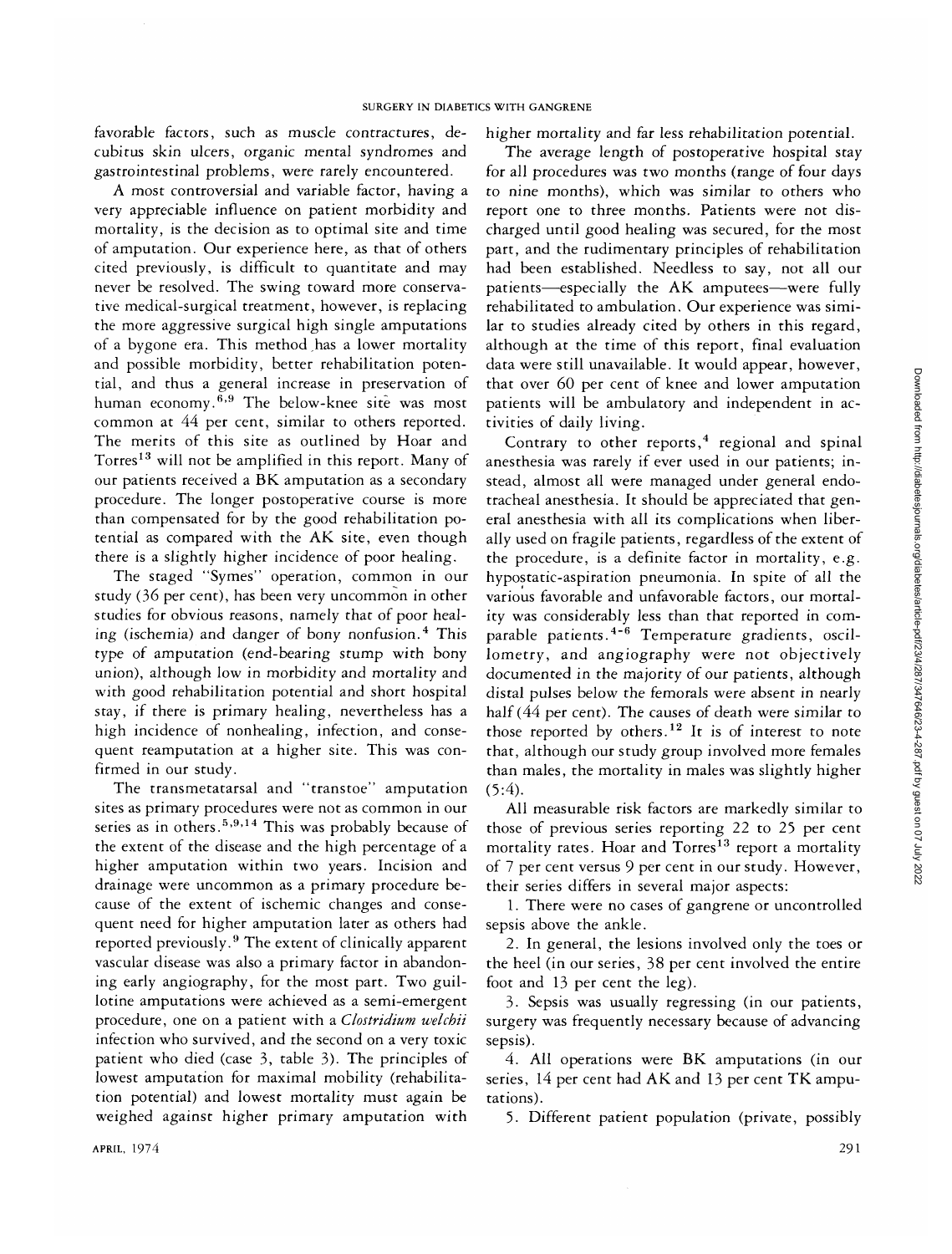favorable factors, such as muscle contractures, decubitus skin ulcers, organic mental syndromes and gastrointestinal problems, were rarely encountered.

A most controversial and variable factor, having a very appreciable influence on patient morbidity and mortality, is the decision as to optimal site and time of amputation. Our experience here, as that of others cited previously, is difficult to quantitate and may never be resolved. The swing toward more conservative medical-surgical treatment, however, is replacing the more aggressive surgical high single amputations of a bygone era. This method has a lower mortality and possible morbidity, better rehabilitation potential, and thus a general increase in preservation of human economy.<sup>6,9</sup> The below-knee site was most common at 44 per cent, similar to others reported. The merits of this site as outlined by Hoar and Torres<sup>13</sup> will not be amplified in this report. Many of our patients received a BK amputation as a secondary procedure. The longer postoperative course is more than compensated for by the good rehabilitation potential as compared with the AK site, even though there is a slightly higher incidence of poor healing.

The staged "Symes" operation, common in our study (36 per cent), has been very uncommon in other studies for obvious reasons, namely that of poor healing (ischemia) and danger of bony nonfusion.<sup>4</sup> This type of amputation (end-bearing stump with bony union), although low in morbidity and mortality and with good rehabilitation potential and short hospital stay, if there is primary healing, nevertheless has a high incidence of nonhealing, infection, and consequent reamputation at a higher site. This was confirmed in our study.

The transmetatarsal and "transtoe" amputation sites as primary procedures were not as common in our series as in others.<sup>5,9,14</sup> This was probably because of the extent of the disease and the high percentage of a higher amputation within two years. Incision and drainage were uncommon as a primary procedure because of the extent of ischemic changes and consequent need for higher amputation later as others had reported previously.<sup>9</sup> The extent of clinically apparent vascular disease was also a primary factor in abandoning early angiography, for the most part. Two guillotine amputations were achieved as a semi-emergent procedure, one on a patient with a *Clostridium welcbii* infection who survived, and the second on a very toxic patient who died (case 3, table 3). The principles of lowest amputation for maximal mobility (rehabilitation potential) and lowest mortality must again be weighed against higher primary amputation with

higher mortality and far less rehabilitation potential.

The average length of postoperative hospital stay for all procedures was two months (range of four days to nine months), which was similar to others who report one to three months. Patients were not discharged until good healing was secured, for the most part, and the rudimentary principles of rehabilitation had been established. Needless to say, not all our patients—especially the AK amputees—were fully rehabilitated to ambulation. Our experience was similar to studies already cited by others in this regard, although at the time of this report, final evaluation data were still unavailable. It would appear, however, that over 60 per cent of knee and lower amputation patients will be ambulatory and independent in activities of daily living.

Contrary to other reports, $4$  regional and spinal anesthesia was rarely if ever used in our patients; instead, almost all were managed under general endotracheal anesthesia. It should be appreciated that general anesthesia with all its complications when liberally used on fragile patients, regardless of the extent of the procedure, is a definite factor in mortality, e.g. hypostatic-aspiration pneumonia. In spite of all the various favorable and unfavorable factors, our mortality was considerably less than that reported in comparable patients.<sup>4-6</sup> Temperature gradients, oscillometry, and angiography were not objectively documented in the majority of our patients, although distal pulses below the femorals were absent in nearly half (44 per cent). The causes of death were similar to those reported by others.<sup>12</sup> It is of interest to note that, although our study group involved more females than males, the mortality in males was slightly higher  $(5:4)$ .

All measurable risk factors are markedly similar to those of previous series reporting 22 to 25 per cent mortality rates. Hoar and Torres<sup>13</sup> report a mortality of 7 per cent versus 9 per cent in our study. However, their series differs in several major aspects:

1. There were no cases of gangrene or uncontrolled sepsis above the ankle.

2. In general, the lesions involved only the toes or the heel (in our series, 38 per cent involved the entire foot and 13 per cent the leg).

3. Sepsis was usually regressing (in our patients, surgery was frequently necessary because of advancing sepsis).

4. All operations were BK amputations (in our series, 14 per cent had AK and 13 per cent TK amputations).

5. Different patient population (private, possibly